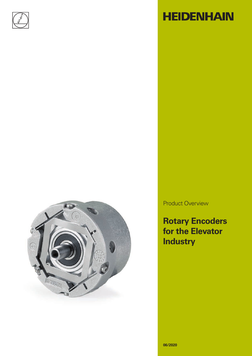



# **HEIDENHAIN**

Product Overview

**Rotary Encoders for the Elevator Industry**

**06/2020**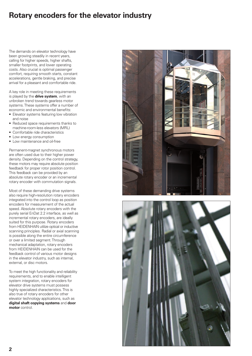### **Rotary encoders for the elevator industry**

The demands on elevator technology have been growing steadily in recent years, calling for higher speeds, higher shafts, smaller footprints, and lower operating costs. Also crucial is optimal passenger comfort, requiring smooth starts, constant accelerations, gentle braking, and precise arrival for a pleasant and comfortable ride.

A key role in meeting these requirements is played by the **drive system**, with an unbroken trend towards gearless motor systems. These systems offer a number of economic and environmental benefits:

- Elevator systems featuring low vibration and noise
- Reduced space requirements thanks to machine-room-less elevators (MRL)
- Comfortable ride characteristics
- Low energy consumption
- Low maintenance and oil-free

Permanent-magnet synchronous motors are often used due to their higher power density. Depending on the control strategy, these motors may require absolute position feedback for proper rotor position control. This feedback can be provided by an absolute rotary encoder or an incremental rotary encoder with commutation signals.

Most of these demanding drive systems also require high-resolution rotary encoders integrated into the control loop as position encoders for measurement of the actual speed. Absolute rotary encoders with the purely serial EnDat 2.2 interface, as well as incremental rotary encoders, are ideally suited for this purpose. Rotary encoders from HEIDENHAIN utilize optical or inductive scanning principles. Radial or axial scanning is possible along the entire circumference or over a limited segment. Through mechanical adaptation, rotary encoders from HEIDENHAIN can be used for the feedback control of various motor designs in the elevator industry, such as internal, external, or disc motors.

To meet the high functionality and reliability requirements, and to enable intelligent system integration, rotary encoders for elevator drive systems must possess highly specialized characteristics. This is also true of rotary encoders for other elevator technology applications, such as **digital shaft copying systems** and **door motor** control.



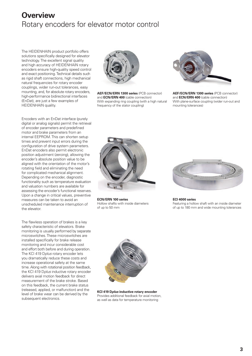### **Overview**  Rotary encoders for elevator motor control

The HEIDENHAIN product portfolio offers solutions specifically designed for elevator technology. The excellent signal quality and high accuracy of HEIDENHAIN rotary encoders ensure high-quality speed control and exact positioning. Technical details such as rigid shaft connections, high mechanical natural frequencies for rotary encoder couplings, wider run-out tolerances, easy mounting, and, for absolute rotary encoders, high-performance bidirectional interfaces (EnDat), are just a few examples of HEIDENHAIN quality.



**AEF/ECN/ERN 1300 series** (PCB connector) and **ECN/ERN 400** (cable connection) With expanding ring coupling (with a high natural frequency of the stator coupling)



**AEF/ECN/ERN 1300 series** (PCB connector) and **ECN/ERN 400** (cable connection) With plane-surface coupling (wider run-out and mounting tolerances)

Encoders with an EnDat interface (purely digital or analog signals) permit the retrieval of encoder parameters and predefined motor and brake parameters from an internal EEPROM. This can shorten setup times and prevent input errors during the configuration of drive system parameters. EnDat encoders also permit electronic position adjustment (zeroing), allowing the encoder's absolute position value to be aligned with the orientation of the motor's rotating field and eliminating the need for complicated mechanical alignment. Depending on the encoder, diagnostic functionality such as temperature evaluation and valuation numbers are available for assessing the encoder's functional reserves. Upon a change in critical values, preventive measures can be taken to avoid an unscheduled maintenance interruption of the elevator.

The flawless operation of brakes is a key safety characteristic of elevators. Brake monitoring is usually performed by separate microswitches. These microswitches are installed specifically for brake release monitoring and incur considerable cost and effort both before and during operation. The KCI 419 D*plus* rotary encoder lets you dramatically reduce these costs and increase operational safety at the same time. Along with rotational position feedback, the KCI 419 D*plus* inductive rotary encoder delivers axial motion feedback for direct measurement of the brake stroke. Based on this feedback, the current brake status (released, applied, or malfunction) and the level of brake wear can be derived by the subsequent electronics.



**ECN/ERN 100 series** Hollow shafts with inside diameters of up to 50 mm



**ECI 4000 series** Featuring a hollow shaft with an inside diameter of up to 180 mm and wide mounting tolerances



**KCI 419 D***plus* **inductive rotary encoder** Provides additional feedback for axial motion, as well as data for temperature monitoring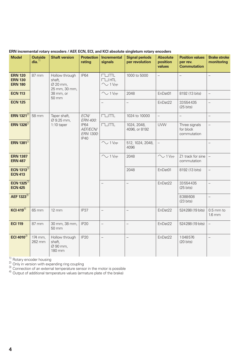|                                                    | <b>CHICHLAI IVLAIY</b>                                         |                                                                                  |                                                      |                                     | 0110000137 ALI, LON, LOI, 0110 INOI 00301010 31191010111 IOI01 y 011000013 |                                       |                                                          |                                   |
|----------------------------------------------------|----------------------------------------------------------------|----------------------------------------------------------------------------------|------------------------------------------------------|-------------------------------------|----------------------------------------------------------------------------|---------------------------------------|----------------------------------------------------------|-----------------------------------|
| <b>Model</b>                                       | <b>Outside</b><br>dia. <sup>1</sup>                            | <b>Shaft version</b>                                                             | rating                                               | Protection   Incremental<br>signals | <b>Signal periods</b><br>per revolution                                    | <b>Absolute</b><br>position<br>values | <b>Position values</b><br>per rev.<br><b>Commutation</b> | <b>Brake stroke</b><br>monitoring |
| <b>ERN 120</b><br><b>ERN 130</b><br><b>ERN 180</b> | 87 mm<br>Hollow through<br>shaft,<br>Ø 20 mm,<br>25 mm, 30 mm, | <b>IP64</b>                                                                      | $\Box$ TTL<br>$\Box$ HTL<br>$\sim$ 1 V <sub>PP</sub> | 1000 to 5000                        | $\overline{\phantom{0}}$                                                   | $\qquad \qquad -$                     | $\qquad \qquad -$                                        |                                   |
| <b>ECN 113</b>                                     |                                                                | 38 mm, or<br>50 mm                                                               |                                                      | $\sim$ 1 V <sub>PP</sub>            | 2048                                                                       | EnDat01                               | 8192 (13 bits)                                           | $\equiv$                          |
| <b>ECN 125</b>                                     |                                                                |                                                                                  |                                                      | $\overline{\phantom{0}}$            | $\overline{\phantom{0}}$                                                   | EnDat22                               | 33554435<br>$(25 \text{ bits})$                          | $\overline{\phantom{0}}$          |
| <b>ERN 1321</b> <sup>2)</sup>                      | 58 mm                                                          | ECN/<br>Taper shaft,<br>Ø 9.25 mm,<br>$1:10$ taper<br><b>IP64</b><br><b>IP40</b> | ERN 400:<br>AEF/ECN/<br>ERN 1300:                    | $\Box$ TTL                          | 1024 to 10000                                                              | $\equiv$                              | $\overline{a}$                                           | $\equiv$                          |
| ERN 1326 <sup>2)</sup>                             |                                                                |                                                                                  |                                                      | $\Box$ TTL                          | 1024, 2048,<br>4096, or 8192                                               | <b>UVW</b>                            | Three signals<br>for block<br>commutation                | $\qquad \qquad -$                 |
| <b>ERN 1381</b> <sup>2)</sup>                      |                                                                |                                                                                  |                                                      | $\sim$ 1 V <sub>PP</sub>            | 512, 1024, 2048,<br>4096                                                   | $\equiv$                              |                                                          | $\qquad \qquad -$                 |
| <b>ERN 1387</b><br><b>ERN 487</b>                  |                                                                |                                                                                  |                                                      | $\sim$ 1 V <sub>PP</sub>            | 2048                                                                       | $\sim$ 1 V <sub>PP</sub>              | Z1 track for sine<br>commutation                         | $\overline{\phantom{0}}$          |
| ECN 1313 $3$<br><b>ECN 413</b>                     |                                                                |                                                                                  |                                                      |                                     | 2048                                                                       | EnDat01                               | 8192 (13 bits)                                           | $\overline{\phantom{0}}$          |
| <b>ECN 1325<sup>3)</sup></b><br><b>ECN 425</b>     |                                                                |                                                                                  |                                                      | $\qquad \qquad -$                   | $\overline{\phantom{0}}$                                                   | EnDat22                               | 33554435<br>$(25 \text{ bits})$                          | $\qquad \qquad -$                 |
| AEF 1323 <sup>3)</sup>                             |                                                                |                                                                                  |                                                      |                                     |                                                                            |                                       | 8388608<br>$(23 \text{ bits})$                           | $\qquad \qquad -$                 |
| KCI 419 $\overline{41}$                            | 65 mm                                                          | $12 \, \text{mm}$                                                                | IP37                                                 | $\equiv$                            | $\overline{\phantom{0}}$                                                   | EnDat22                               | 524288 (19 bits)                                         | $0.5$ mm to<br>$1.6$ mm           |
| <b>ECI 119</b>                                     | 87 mm                                                          | 30 mm, 38 mm,<br>50 mm                                                           | <b>IP20</b>                                          | $\overline{\phantom{0}}$            | $\overline{a}$                                                             | EnDat22                               | 524288 (19 bits)                                         | $\overline{\phantom{0}}$          |
| ECI 4010 $3$                                       | 174 mm,<br>262 mm                                              | Hollow through<br>shaft,<br>Ø 90 mm,<br>180 mm                                   | <b>IP20</b>                                          | $\overline{\phantom{0}}$            | $\overline{\phantom{0}}$                                                   | EnDat22                               | 1048576<br>$(20 \text{ bits})$                           | $\overline{\phantom{0}}$          |

#### **ERN incremental rotary encoders / AEF, ECN, ECL, and KCI absolute singleturn rotary encoders**

1) Rotary encoder housing<br>
2) Only in version with expanding ring coupling<br>
3) Connection of an external temperature sensor in the motor is possible<br>
4) Output of additional temperature values (armature plate of the brake)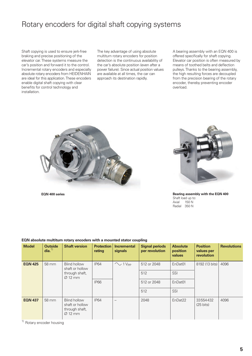### Rotary encoders for digital shaft copying systems

Shaft copying is used to ensure jerk-free braking and precise positioning of the elevator car. These systems measure the car's position and forward it to the control. Incremental rotary encoders and especially absolute rotary encoders from HEIDENHAIN are ideal for this application. These encoders enable digital shaft copying with clear benefits for control technology and installation.

The key advantage of using absolute multiturn rotary encoders for position detection is the continuous availability of the car's absolute position (even after a power failure). Since actual position values are available at all times, the car can approach its destination rapidly.

A bearing assembly with an EQN 400 is offered specifically for shaft copying. Elevator car position is often measured by means of toothed belts and deflection pulleys. Thanks to the bearing assembly, the high resulting forces are decoupled from the precision bearing of the rotary encoder, thereby preventing encoder overload.





**EQN 400 series Bearing assembly with the EQN 400** Shaft load up to:<br>Axial 150 N  $150$  N Radial 350 N

| <b>Model</b>   | <b>Outside</b><br>dia. <sup>1</sup> | <b>Shaft version</b>                                                            | <b>Protection</b><br>rating | <b>Incremental</b><br>signals | <b>Signal periods</b><br>per revolution | <b>Absolute</b><br>position<br>values | <b>Position</b><br>values per<br>revolution | <b>Revolutions</b> |
|----------------|-------------------------------------|---------------------------------------------------------------------------------|-----------------------------|-------------------------------|-----------------------------------------|---------------------------------------|---------------------------------------------|--------------------|
| <b>EQN 425</b> | 58 mm                               | <b>Blind hollow</b><br>shaft or hollow<br>through shaft,<br>$\varnothing$ 12 mm | <b>IP64</b>                 | $\sim$ 1 V <sub>PP</sub>      | 512 or 2048                             | EnDat01                               | 8192 (13 bits)                              | 4096               |
|                |                                     |                                                                                 |                             |                               | 512                                     | SSI                                   |                                             |                    |
|                |                                     |                                                                                 | <b>IP66</b>                 |                               | 512 or 2048                             | EnDat01                               |                                             |                    |
|                |                                     |                                                                                 |                             |                               | 512                                     | SSI                                   |                                             |                    |
| <b>EQN 437</b> | 58 mm                               | <b>Blind hollow</b><br>shaft or hollow<br>through shaft,<br>$\varnothing$ 12 mm | <b>IP64</b>                 |                               | 2048                                    | EnDat22                               | 33554432<br>$(25 \text{ bits})$             | 4096               |

#### **EQN absolute multiturn rotary encoders with a mounted stator coupling**

<sup>1)</sup> Rotary encoder housing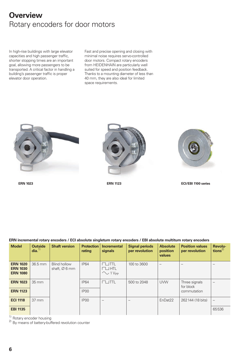### **Overview** Rotary encoders for door motors

In high-rise buildings with large elevator capacities and high passenger traffic, shorter stopping times are an important goal, allowing more passengers to be transported. A critical factor in handling a building's passenger traffic is proper elevator door operation.

Fast and precise opening and closing with minimal noise requires servo-controlled door motors. Compact rotary encoders from HEIDENHAIN are particularly well suited for speed and position feedback. Thanks to a mounting diameter of less than 40 mm, they are also ideal for limited space requirements.



**ERN 1023 ERN 1123**



**ERN incremental rotary encoders / ECI absolute singleturn rotary encoders / EBI absolute multiturn rotary encoders**



**ECI/EBI 1100 series**

|                                                       |                                     |                                                  | -----                           |                                                       |                                         |                                       |                                           |                                |
|-------------------------------------------------------|-------------------------------------|--------------------------------------------------|---------------------------------|-------------------------------------------------------|-----------------------------------------|---------------------------------------|-------------------------------------------|--------------------------------|
| <b>Model</b>                                          | <b>Outside</b><br>dia. <sup>1</sup> | <b>Shaft version</b>                             | <b>Protection</b><br>rating     | <b>Incremental</b><br>signals                         | <b>Signal periods</b><br>per revolution | <b>Absolute</b><br>position<br>values | <b>Position values</b><br>per revolution  | Revolu-<br>tions <sup>2)</sup> |
| <b>ERN 1020</b><br><b>ERN 1030</b><br><b>ERN 1080</b> | 36.5 mm                             | <b>Blind hollow</b><br>shaft, $\varnothing$ 6 mm | <b>IP64</b>                     | JTTL<br>$\neg$ $\Box$ htl<br>$\sim$ 1 V <sub>PP</sub> | 100 to 3600                             |                                       |                                           | $\overline{\phantom{0}}$       |
| <b>ERN 1023</b><br><b>ERN 1123</b>                    | 35 mm                               |                                                  | <b>IP64</b><br>IP <sub>00</sub> | $\sqcup$ ttl                                          | 500 to 2048                             | <b>UVW</b>                            | Three signals<br>for block<br>commutation |                                |
| <b>ECI 1118</b>                                       | $37 \, \text{mm}$                   |                                                  | IP <sub>00</sub>                |                                                       |                                         | EnDat22                               | 262144 (18 bits)                          | $\overline{\phantom{m}}$       |
| <b>EBI 1135</b>                                       |                                     |                                                  |                                 |                                                       |                                         |                                       |                                           | 65536                          |

<sup>1)</sup> Rotary encoder housing  $2)$  By means of battery-buffered revolution counter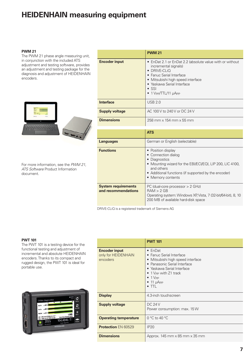### **HEIDENHAIN measuring equipment**

#### **PWM 21**

The PWM 21 phase angle measuring unit, in conjunction with the included ATS adjustment and testing software, provides an adjustment and testing package for the diagnosis and adjustment of HEIDENHAIN encoders.



For more information, see the *PWM 21, ATS Software* Product Information document.

|                                                   | <b>PWM 21</b>                                                                                                                                                                                                                                   |  |  |  |
|---------------------------------------------------|-------------------------------------------------------------------------------------------------------------------------------------------------------------------------------------------------------------------------------------------------|--|--|--|
| <b>Encoder input</b>                              | • EnDat 2.1 or EnDat 2.2 (absolute value with or without<br>incremental signals)<br>• DRIVE-CLIO<br>• Fanuc Serial Interface<br>• Mitsubishi high speed interface<br>• Yaskawa Serial Interface<br>$\bullet$ SSI<br>$\bullet$ 1 Vpp/TTL/11 µApp |  |  |  |
| <b>Interface</b>                                  | <b>USB 2.0</b>                                                                                                                                                                                                                                  |  |  |  |
| <b>Supply voltage</b>                             | AC 100 V to 240 V or DC 24 V                                                                                                                                                                                                                    |  |  |  |
| <b>Dimensions</b>                                 | 258 mm x 154 mm x 55 mm                                                                                                                                                                                                                         |  |  |  |
|                                                   |                                                                                                                                                                                                                                                 |  |  |  |
|                                                   | <b>ATS</b>                                                                                                                                                                                                                                      |  |  |  |
| <b>Languages</b>                                  | German or English (selectable)                                                                                                                                                                                                                  |  |  |  |
| <b>Functions</b>                                  | • Position display<br>• Connection dialog<br>• Diagnostics<br>• Mounting wizard for the EBI/ECI/EQI, LIP 200, LIC 4100,<br>and others<br>• Additional functions (if supported by the encoder)<br>• Memory contents                              |  |  |  |
| <b>System requirements</b><br>and recommendations | PC (dual-core processor > 2 GHz)<br>RAM > 2 GB<br>Operating system: Windows XP, Vista, 7 (32-bit/64-bit), 8, 10<br>200 MB of available hard-disk space                                                                                          |  |  |  |

DRIVE-CLiQ is a registered trademark of Siemens AG

#### **PWT 101**

The PWT 101 is a testing device for the functional testing and adjustment of incremental and absolute HEIDENHAIN encoders. Thanks to its compact and rugged design, the PWT 101 is ideal for portable use.

|               | Online diagnostics<br>25                                       | 0000<br>Grial<br>500<br>50      | n<br>Home    |
|---------------|----------------------------------------------------------------|---------------------------------|--------------|
| Abs.Tr        |                                                                |                                 | ی<br>Refresh |
| Inc.Tr.       |                                                                |                                 | Ξ            |
|               | Min 1,984 mm @ 3950 rev 127 *<br>Max 1,989 mm @ 3948 rev 307 * | 1.985<br>Mounting dearance (mm) | More         |
|               | 3955<br>Revelutions                                            | 164.4846<br>Angle [degrees]     | Power        |
| <b>Status</b> |                                                                | <b>HEIDENHAIN</b>               |              |

|                                                         | <b>PWT 101</b>                                                                                                                                                                                                                                      |
|---------------------------------------------------------|-----------------------------------------------------------------------------------------------------------------------------------------------------------------------------------------------------------------------------------------------------|
| <b>Encoder input</b><br>only for HEIDENHAIN<br>encoders | $\bullet$ EnDat<br>• Fanuc Serial Interface<br>• Mitsubishi high speed interface<br>• Panasonic Serial Interface<br>• Yaskawa Serial Interface<br>• 1 V <sub>PP</sub> with Z1 track<br>$\bullet$ 1 $VPP$<br>$\bullet$ 11 $\mu$ App<br>$\bullet$ TTL |
| <b>Display</b>                                          | 4.3-inch touchscreen                                                                                                                                                                                                                                |
| <b>Supply voltage</b>                                   | DC24V<br>Power consumption: max. 15 W                                                                                                                                                                                                               |
| <b>Operating temperature</b>                            | $0^{\circ}$ C to 40 $^{\circ}$ C                                                                                                                                                                                                                    |
| <b>Protection EN 60529</b>                              | IP20                                                                                                                                                                                                                                                |
| <b>Dimensions</b>                                       | Approx. 145 mm x 85 mm x 35 mm                                                                                                                                                                                                                      |